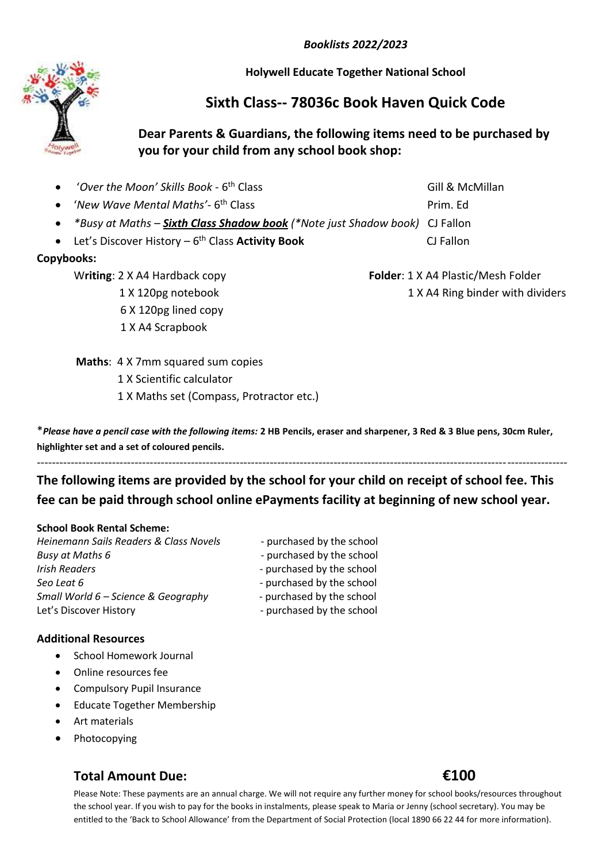*Booklists 2022/2023*

**Holywell Educate Together National School**

# **Sixth Class-- 78036c Book Haven Quick Code**

## **Dear Parents & Guardians, the following items need to be purchased by you for your child from any school book shop:**

| • 'Over the Moon' Skills Book - 6 <sup>th</sup> Class                                | Gill & McMillan |
|--------------------------------------------------------------------------------------|-----------------|
| • 'New Wave Mental Maths'- $6th$ Class                                               | Prim. Ed        |
| • *Busy at Maths – <b>Sixth Class Shadow book</b> (*Note just Shadow book) CJ Fallon |                 |
| • Let's Discover History $-6$ <sup>th</sup> Class <b>Activity Book</b>               | CJ Fallon       |

## **Copybooks:**

 6 X 120pg lined copy 1 X A4 Scrapbook

W**riting**: 2 X A4 Hardback copy **Folder**: 1 X A4 Plastic/Mesh Folder 1 X 120pg notebook 1 X A4 Ring binder with dividers

**Maths: 4 X 7mm squared sum copies** 

1 X Scientific calculator

1 X Maths set (Compass, Protractor etc.)

\**Please have a pencil case with the following items:* **2 HB Pencils, eraser and sharpener, 3 Red & 3 Blue pens, 30cm Ruler, highlighter set and a set of coloured pencils.** 

# **The following items are provided by the school for your child on receipt of school fee. This fee can be paid through school online ePayments facility at beginning of new school year.**

---------------------------------------------------------------------------------------------------------------------------------------------

## **School Book Rental Scheme:**

# **Additional Resources**

- School Homework Journal
- Online resources fee
- Compulsory Pupil Insurance
- Educate Together Membership
- Art materials
- Photocopying

# **Total Amount Due: €100**

### Please Note: These payments are an annual charge. We will not require any further money for school books/resources throughout the school year. If you wish to pay for the books in instalments, please speak to Maria or Jenny (school secretary). You may be entitled to the 'Back to School Allowance' from the Department of Social Protection (local 1890 66 22 44 for more information).

## *Heinemann Sails Readers & Class Novels* - purchased by the school *Busy at Maths 6*  $\overline{\phantom{a}}$  - purchased by the school *Irish Readers* - purchased by the school **Seo Leat 6** - **1** - purchased by the school *Small World 6 – Science & Geography* - purchased by the school Let's Discover History **Example 20** approach by the school